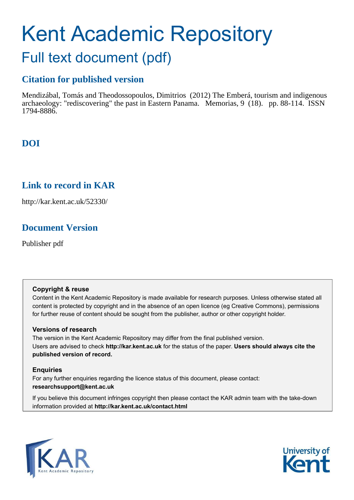# Kent Academic Repository Full text document (pdf)

## **Citation for published version**

Mendizábal, Tomás and Theodossopoulos, Dimitrios (2012) The Emberá, tourism and indigenous archaeology: "rediscovering" the past in Eastern Panama. Memorias, 9 (18). pp. 88-114. ISSN 1794-8886.

## **DOI**

## **Link to record in KAR**

http://kar.kent.ac.uk/52330/

## **Document Version**

Publisher pdf

#### **Copyright & reuse**

Content in the Kent Academic Repository is made available for research purposes. Unless otherwise stated all content is protected by copyright and in the absence of an open licence (eg Creative Commons), permissions for further reuse of content should be sought from the publisher, author or other copyright holder.

#### <span id="page-0-1"></span>**Versions of research**

The version in the Kent Academic Repository may differ from the final published version. Users are advised to check **http://kar.kent.ac.uk** for the status of the paper. **Users should always cite the published version of record.**

#### **Enquiries**

<span id="page-0-0"></span>For any further enquiries regarding the licence status of this document, please contact: **researchsupport@kent.ac.uk**

If you believe this document infringes copyright then please contact the KAR admin team with the take-down information provided at **http://kar.kent.ac.uk/contact.html**



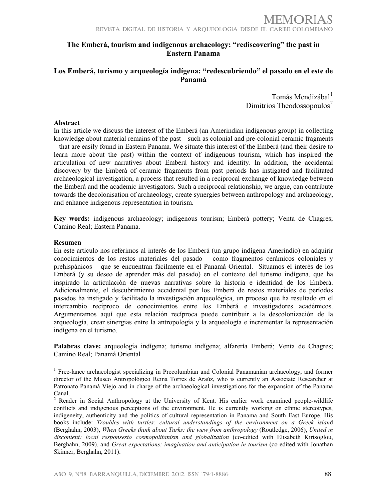#### **The Emberá, tourism and indigenous archaeology: "rediscovering" the past in Eastern Panama**

#### **Los Emberá, turismo y arqueología indígena: "redescubriendo" el pasado en el este de Panamá**

Tomás Mendizábal<sup>[1](#page-26-0)</sup> Dimitrios Theodossopoulos $2$ 

#### **Abstract**

In this article we discuss the interest of the Emberá (an Amerindian indigenous group) in collecting knowledge about material remains of the past—such as colonial and pre-colonial ceramic fragments – that are easily found in Eastern Panama. We situate this interest of the Emberá (and their desire to learn more about the past) within the context of indigenous tourism, which has inspired the articulation of new narratives about Emberá history and identity. In addition, the accidental discovery by the Emberá of ceramic fragments from past periods has instigated and facilitated archaeological investigation, a process that resulted in a reciprocal exchange of knowledge between the Emberá and the academic investigators. Such a reciprocal relationship, we argue, can contribute towards the decolonisation of archaeology, create synergies between anthropology and archaeology, and enhance indigenous representation in tourism.

**Key words:** indigenous archaeology; indigenous tourism; Emberá pottery; Venta de Chagres; Camino Real; Eastern Panama.

#### **Resumen**

<span id="page-1-7"></span>!!!!!!!!!!!!!!!!!!!!!!!!!!!!!!!!!!!!!!!!!!!!!!!!!!!!!!!!

En este artículo nos referimos al interés de los Emberá (un grupo indígena Amerindio) en adquirir conocimientos de los restos materiales del pasado – como fragmentos cerámicos coloniales y prehispánicos – que se encuentran fácilmente en el Panamá Oriental. Situamos el interés de los Emberá (y su deseo de aprender más del pasado) en el contexto del turismo indígena, que ha inspirado la articulación de nuevas narrativas sobre la historia e identidad de los Emberá. Adicionalmente, el descubrimiento accidental por los Emberá de restos materiales de períodos pasados ha instigado y facilitado la investigación arqueológica, un proceso que ha resultado en el intercambio recíproco de conocimientos entre los Emberá e investigadores académicos. Argumentamos aquí que esta relación recíproca puede contribuir a la descolonización de la arqueología, crear sinergias entre la antropología y la arqueología e incrementar la representación indígena en el turismo.

<span id="page-1-0"></span>**Palabras clave:** arqueología indígena; turismo indígena; alfarería Emberá; Venta de Chagres; Camino Real; Panamá Oriental

<span id="page-1-1"></span><sup>&</sup>lt;sup>1</sup> Free-lance archaeologist specializing in Precolumbian and Colonial Panamanian archaeology, and former director of the Museo Antropológico Reina Torres de Araúz, who is currently an Associate Researcher at Patronato Panamá Viejo and in charge of the archaeological investigations for the expansion of the Panama Canal.

<span id="page-1-6"></span><span id="page-1-5"></span><span id="page-1-4"></span><span id="page-1-3"></span><span id="page-1-2"></span><sup>2</sup> Reader in Social Anthropology at the University of Kent. His earlier work examined people-wildlife conflicts and indigenous perceptions of the environment. He is currently working on ethnic stereotypes, indigeneity, authenticity and the politics of cultural representation in Panama and South East Europe. His books include: *Troubles with turtles: cultural understandings of the environment on a Greek islan*d (Berghahn, 2003), *When Greeks think about Turks: the view from anthropology* (Routledge, 2006), *United in discontent: local responsesto cosmopolitanism and globalization* (co-edited with Elisabeth Kirtsoglou, Berghahn, 2009), and *Great expectations: imagination and anticipation in tourism* (co-edited with Jonathan Skinner, Berghahn, 2011).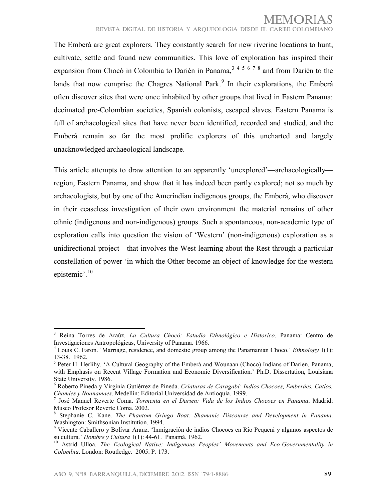The Emberá are great explorers. They constantly search for new riverine locations to hunt, cultivate, settle and found new communities. This love of exploration has inspired their expansion from Chocó in Colombia to Darién in Panama,  $3^{3}$  $3^{3}$   $4^{5}$  $4^{5}$  $4^{5}$  $4^{5}$   $6^{7}$  $6^{7}$  $6^{7}$  $6^{7}$   $8$  and from Darién to the lands that now comprise the Chagres National Park.<sup>[9](#page-1-5)</sup> In their explorations, the Emberá often discover sites that were once inhabited by other groups that lived in Eastern Panama: decimated pre-Colombian societies, Spanish colonists, escaped slaves. Eastern Panama is full of archaeological sites that have never been identified, recorded and studied, and the Emberá remain so far the most prolific explorers of this uncharted and largely unacknowledged archaeological landscape.

This article attempts to draw attention to an apparently 'unexplored'—archaeologically region, Eastern Panama, and show that it has indeed been partly explored; not so much by archaeologists, but by one of the Amerindian indigenous groups, the Emberá, who discover in their ceaseless investigation of their own environment the material remains of other ethnic (indigenous and non-indigenous) groups. Such a spontaneous, non-academic type of exploration calls into question the vision of 'Western' (non-indigenous) exploration as a unidirectional project—that involves the West learning about the Rest through a particular constellation of power 'in which the Other become an object of knowledge for the western epistemic'.<sup>[10](#page-1-6)</sup>

<span id="page-2-6"></span><sup>3</sup> Reina Torres de Araúz. *La Cultura Chocó: Estudio Ethnológico e Historico*. Panama: Centro de Investigaciones Antropológicas, University of Panama. 1966.

<sup>4</sup> Louis C. Faron. 'Marriage, residence, and domestic group among the Panamanian Choco.' *Ethnology* 1(1): 13-38. 1962.

<span id="page-2-0"></span><sup>&</sup>lt;sup>5</sup> Peter H. Herlihy. 'A Cultural Geography of the Emberá and Wounaan (Choco) Indians of Darien, Panama, with Emphasis on Recent Village Formation and Economic Diversification.' Ph.D. Dissertation, Louisiana State University. 1986.

<span id="page-2-1"></span><sup>6</sup> Roberto Pineda y Virginia Gutiérrez de Pineda. *Criaturas de Caragabí: Indios Chocoes, Emberáes, Catíos, Chamíes y Noanamaes*. Medellín: Editorial Universidad de Antioquia. 1999.

<span id="page-2-2"></span><sup>7</sup> José Manuel Reverte Coma. *Tormenta en el Darien: Vida de los Indios Chocoes en Panama*. Madrid: Museo Profesor Reverte Coma. 2002.

<sup>8</sup> Stephanie C. Kane. *The Phantom Gringo Boat: Shamanic Discourse and Development in Panama*. Washington: Smithsonian Institution. 1994.

<span id="page-2-4"></span><span id="page-2-3"></span><sup>9</sup> Vicente Caballero y Bolívar Arauz. 'Inmigración de indios Chocoes en Río Pequeni y algunos aspectos de su cultura.' *Hombre y Cultura* 1(1): 44-61. Panamá. 1962.<br><sup>10</sup> Astrid **Lilles** *TL*, *C*<sub>1</sub>.

<span id="page-2-5"></span>Astrid Ulloa. *The Ecological Native: Indigenous Peoples' Movements and Eco-Governmentality in Colombia*. London: Routledge. 2005. P. 173.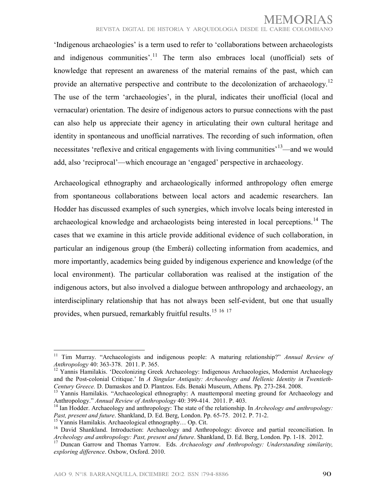'Indigenous archaeologies' is a term used to refer to 'collaborations between archaeologists and indigenous communities'.<sup>[11](#page-1-7)</sup> The term also embraces local (unofficial) sets of knowledge that represent an awareness of the material remains of the past, which can provide an alternative perspective and contribute to the decolonization of archaeology.<sup>[12](#page-2-0)</sup> The use of the term 'archaeologies', in the plural, indicates their unofficial (local and vernacular) orientation. The desire of indigenous actors to pursue connections with the past can also help us appreciate their agency in articulating their own cultural heritage and identity in spontaneous and unofficial narratives. The recording of such information, often necessitates 'reflexive and critical engagements with living communities'<sup>[13](#page-2-1)</sup>—and we would add, also 'reciprocal'—which encourage an 'engaged' perspective in archaeology.

Archaeological ethnography and archaeologically informed anthropology often emerge from spontaneous collaborations between local actors and academic researchers. Ian Hodder has discussed examples of such synergies, which involve locals being interested in archaeological knowledge and archaeologists being interested in local perceptions.<sup>[14](#page-2-2)</sup> The cases that we examine in this article provide additional evidence of such collaboration, in particular an indigenous group (the Emberá) collecting information from academics, and more importantly, academics being guided by indigenous experience and knowledge (of the local environment). The particular collaboration was realised at the instigation of the indigenous actors, but also involved a dialogue between anthropology and archaeology, an interdisciplinary relationship that has not always been self-evident, but one that usually provides, when pursued, remarkably fruitful results.<sup>[15](#page-2-3) [16](#page-2-4) [17](#page-2-5)</sup>

<span id="page-3-2"></span><span id="page-3-1"></span><span id="page-3-0"></span><sup>11</sup> Tim Murray. "Archaeologists and indigenous people: A maturing relationship?" *Annual Review of Anthropology* 40: 363-378. 2011. P. 365.

<span id="page-3-3"></span><sup>&</sup>lt;sup>12</sup> Yannis Hamilakis. 'Decolonizing Greek Archaeology: Indigenous Archaeologies, Modernist Archaeology and the Post-colonial Critique.' In *A Singular Antiquity: Archaeology and Hellenic Identity in Twentieth-Century Greece.* D. Damaskos and D. Plantzos. Eds. Benaki Museum, Athens. Pp. 273-284. 2008.

<span id="page-3-9"></span><span id="page-3-4"></span><sup>&</sup>lt;sup>13</sup> Yannis Hamilakis. "Archaeological ethnography: A mauttemporal meeting ground for Archaeology and Anthropology." *Annual Review of Anthropology* 40: 399-414. 2011. P. 403.

<sup>14</sup> Ian Hodder. Archaeology and anthropology: The state of the relationship. In *Archeology and anthropology: Past, present and future*. Shankland, D. Ed. Berg, London. Pp. 65-75. 2012. P. 71-2.

<span id="page-3-5"></span><sup>15</sup> Yannis Hamilakis. Archaeological ethnography… Op. Cit.

<span id="page-3-6"></span><sup>&</sup>lt;sup>16</sup> David Shankland. Introduction: Archaeology and Anthropology: divorce and partial reconciliation. In *Archeology and anthropology: Past, present and future*. Shankland, D. Ed. Berg, London. Pp. 1-18. 2012.

<span id="page-3-8"></span><span id="page-3-7"></span><sup>&</sup>lt;sup>17</sup> Duncan Garrow and Thomas Yarrow. Eds. Archaeology and Anthropology: Understanding similarity, *exploring difference*. Oxbow, Oxford. 2010.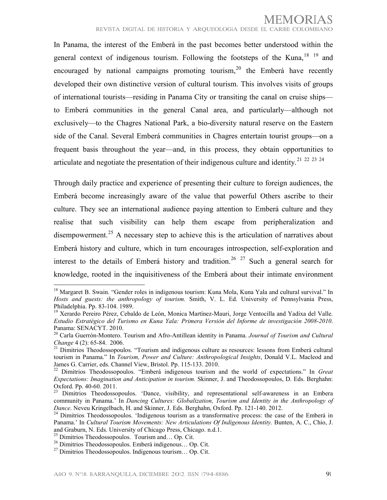In Panama, the interest of the Emberá in the past becomes better understood within the general context of indigenous tourism. Following the footsteps of the Kuna,  $18 \times 19$  $18 \times 19$  $18 \times 19$  and encouraged by national campaigns promoting tourism,  $20$  the Emberá have recently developed their own distinctive version of cultural tourism. This involves visits of groups of international tourists—residing in Panama City or transiting the canal on cruise ships to Emberá communities in the general Canal area, and particularly—although not exclusively—to the Chagres National Park, a bio-diversity natural reserve on the Eastern side of the Canal. Several Emberá communities in Chagres entertain tourist groups—on a frequent basis throughout the year—and, in this process, they obtain opportunities to articulate and negotiate the presentation of their indigenous culture and identity.<sup>[21](#page-3-2)</sup>  $22$   $23$   $24$ 

Through daily practice and experience of presenting their culture to foreign audiences, the Emberá become increasingly aware of the value that powerful Others ascribe to their culture. They see an international audience paying attention to Emberá culture and they realise that such visibility can help them escape from peripheralization and disempowerment.<sup>[25](#page-3-6)</sup> A necessary step to achieve this is the articulation of narratives about Emberá history and culture, which in turn encourages introspection, self-exploration and interest to the details of Emberá history and tradition.<sup>[26](#page-3-7) [27](#page-3-8)</sup> Such a general search for knowledge, rooted in the inquisitiveness of the Emberá about their intimate environment !!!!!!!!!!!!!!!!!!!!!!!!!!!!!!!!!!!!!!!!!!!!!!!!!!!!!!!!

<span id="page-4-4"></span><sup>&</sup>lt;sup>18</sup> Margaret B. Swain. "Gender roles in indigenous tourism: Kuna Mola, Kuna Yala and cultural survival." In *Hosts and guests: the anthropology of tourism.* Smith, V. L. Ed. University of Pennsylvania Press, Philadelphia. Pp. 83-104. 1989.

<sup>&</sup>lt;sup>19</sup> Xerardo Pereiro Pérez, Cebaldo de León, Monica Martínez-Mauri, Jorge Ventocilla and Yadixa del Valle. *Estudio Estratégico del Turismo en Kuna Yala: Primera Versión del Informe de investigación 2008-2010*. Panama: SENACYT. 2010.

<sup>20</sup> Carla Guerrón-Montero. Tourism and Afro-Antillean identity in Panama. *Journal of Tourism and Cultural Change* 4 (2): 65-84. 2006.

<sup>&</sup>lt;sup>21</sup> Dimitrios Theodossopoulos. "Tourism and indigenous culture as resources: lessons from Emberá cultural tourism in Panama." In *Tourism, Power and Culture: Anthropological Insights*, Donald V.L. Macleod and James G. Carrier, eds. Channel View, Bristol. Pp. 115-133. 2010.

<sup>22</sup> Dimitrios Theodossopoulos. "Emberá indigenous tourism and the world of expectations." In *Great Expectations: Imagination and Anticipation in tourism.* Skinner, J. and Theodossopoulos, D. Eds. Berghahn: Oxford. Pp. 40-60. 2011.

<span id="page-4-0"></span><sup>&</sup>lt;sup>23</sup> Dimitrios Theodossopoulos. 'Dance, visibility, and representational self-awareness in an Embera community in Panama.' In *Dancing Cultures: Globalization, Tourism and Identity in the Anthropology of Dance*. Neveu Kringelbach, H. and Skinner, J. Eds. Berghahn, Oxford. Pp. 121-140. 2012.

<span id="page-4-1"></span><sup>&</sup>lt;sup>24</sup> Dimitrios Theodossopoulos. 'Indigenous tourism as a transformative process: the case of the Emberá in Panama.' In *Cultural Tourism Movements: New Articulations Of Indigenous Identity.* Bunten, A. C., Chio, J. and Graburn, N. Eds. University of Chicago Press, Chicago. n.d.1.

<span id="page-4-2"></span><sup>&</sup>lt;sup>25</sup> Dimitrios Theodossopoulos. Tourism and... Op. Cit.

<span id="page-4-3"></span><sup>26</sup> Dimitrios Theodossopoulos. Emberá indigenous… Op. Cit.

<sup>27</sup> Dimitrios Theodossopoulos. Indigenous tourism… Op. Cit.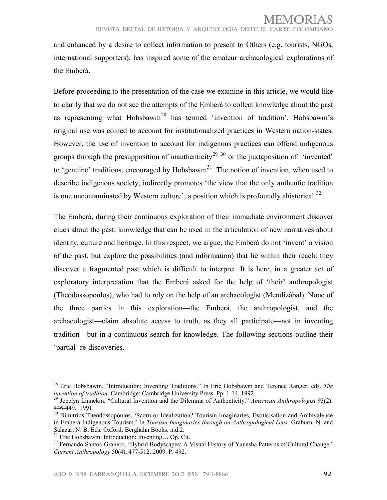and enhanced by a desire to collect information to present to Others (e.g. tourists, NGOs, international supporters), has inspired some of the amateur archaeological explorations of the Emberá.

Before proceeding to the presentation of the case we examine in this article, we would like to clarify that we do not see the attempts of the Emberá to collect knowledge about the past as representing what Hobsbawm<sup>[28](#page-3-9)</sup> has termed 'invention of tradition'. Hobsbawm's original use was coined to account for institutionalized practices in Western nation-states. However, the use of invention to account for indigenous practices can offend indigenous groups through the presupposition of inauthenticity<sup>[29](#page-4-0) [30](#page-4-1)</sup> or the juxtaposition of 'invented' to 'genuine' traditions, encouraged by Hobsbawm<sup>[31](#page-4-2)</sup>. The notion of invention, when used to describe indigenous society, indirectly promotes 'the view that the only authentic tradition is one uncontaminated by Western culture', a position which is profoundly ahistorical.<sup>[32](#page-4-3)</sup>

The Emberá, during their continuous exploration of their immediate environment discover clues about the past: knowledge that can be used in the articulation of new narratives about identity, culture and heritage. In this respect, we argue, the Emberá do not 'invent' a vision of the past, but explore the possibilities (and information) that lie within their reach: they discover a fragmented past which is difficult to interpret. It is here, in a greater act of exploratory interpretation that the Emberá asked for the help of 'their' anthropologist (Theodossopoulos), who had to rely on the help of an archaeologist (Mendizábal). None of the three parties in this exploration—the Emberá, the anthropologist, and the archaeologist—claim absolute access to truth, as they all participate—not in inventing tradition—but in a continuous search for knowledge. The following sections outline their 'partial' re-discoveries.

<span id="page-5-1"></span><span id="page-5-0"></span><sup>28</sup> Eric Hobsbawm. "Introduction: Inventing Traditions." In Eric Hobsbawm and Terence Ranger, eds. *The invention of tradition*. Cambridge: Cambridge University Press. Pp. 1-14. 1992.

<sup>29</sup> Jocelyn Linnekin. "Cultural Invention and the Dilemma of Authenticity." *American Anthropologist* 93(2): 446-449. 1991.

<sup>&</sup>lt;sup>30</sup> Dimitrios Theodossopoulos. 'Scorn or Idealization? Tourism Imaginaries, Exoticisation and Ambivalence in Emberá Indigenous Tourism.' In *Tourism Imaginaries through an Anthropological Lens.* Graburn, N. and Salazar, N. B. Eds. Oxford: Berghahn Books. n.d.2.

Eric Hobsbawm. Introduction: Inventing... Op. Cit.

<sup>&</sup>lt;sup>32</sup> Fernando Santos-Granero. 'Hybrid Bodyscapes: A Visual History of Yanesha Patterns of Cultural Change.' *Current Anthropology* 50(4), 477-512. 2009. P. 492.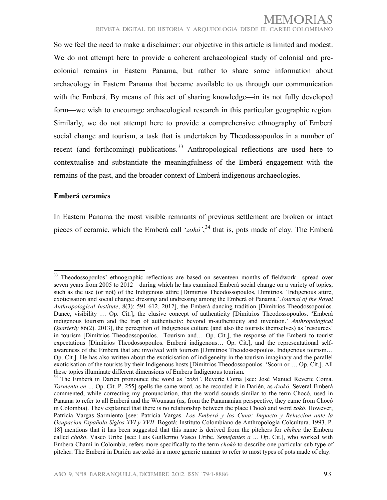So we feel the need to make a disclaimer: our objective in this article is limited and modest. We do not attempt here to provide a coherent archaeological study of colonial and precolonial remains in Eastern Panama, but rather to share some information about archaeology in Eastern Panama that became available to us through our communication with the Emberá. By means of this act of sharing knowledge—in its not fully developed form—we wish to encourage archaeological research in this particular geographic region. Similarly, we do not attempt here to provide a comprehensive ethnography of Emberá social change and tourism, a task that is undertaken by Theodossopoulos in a number of recent (and forthcoming) publications.<sup>[33](#page-4-4)</sup> Anthropological reflections are used here to contextualise and substantiate the meaningfulness of the Emberá engagement with the remains of the past, and the broader context of Emberá indigenous archaeologies.

#### **Emberá ceramics**

!!!!!!!!!!!!!!!!!!!!!!!!!!!!!!!!!!!!!!!!!!!!!!!!!!!!!!!!

In Eastern Panama the most visible remnants of previous settlement are broken or intact pieces of ceramic, which the Emberá call '*zokó'*, [34](#page-5-0) that is, pots made of clay. The Emberá

<sup>&</sup>lt;sup>33</sup> Theodossopoulos' ethnographic reflections are based on seventeen months of fieldwork—spread over seven years from 2005 to 2012—during which he has examined Emberá social change on a variety of topics, such as the use (or not) of the Indigenous attire [Dimitrios Theodossopoulos, Dimitrios. 'Indigenous attire, exoticisation and social change: dressing and undressing among the Emberá of Panama.' *Journal of the Royal Anthropological Institute*, 8(3): 591-612. 2012], the Emberá dancing tradition [Dimitrios Theodossopoulos. Dance, visibility … Op. Cit.], the elusive concept of authenticity [Dimitrios Theodossopoulos. 'Emberá indigenous tourism and the trap of authenticity: beyond in-authenticity and invention.' *Anthropological Quarterly* 86(2). 2013], the perception of Indigenous culture (and also the tourists themselves) as 'resources' in tourism [Dimitrios Theodossopoulos. Tourism and… Op. Cit.], the response of the Emberá to tourist expectations [Dimitrios Theodossopoulos. Emberá indigenous… Op. Cit.], and the representational selfawareness of the Emberá that are involved with tourism [Dimitrios Theodossopoulos. Indigenous tourism… Op. Cit.]. He has also written about the exoticisation of indigeneity in the tourism imaginary and the parallel exoticisation of the tourists by their Indigenous hosts [Dimitrios Theodossopoulos. 'Scorn or … Op. Cit.]. All these topics illuminate different dimensions of Embera Indigenous tourism.

<span id="page-6-8"></span><span id="page-6-7"></span><span id="page-6-6"></span><span id="page-6-5"></span><span id="page-6-4"></span><span id="page-6-3"></span><span id="page-6-2"></span><span id="page-6-1"></span><span id="page-6-0"></span><sup>34</sup> The Emberá in Darién pronounce the word as '*zokó'*. Reverte Coma [see: José Manuel Reverte Coma. *Tormenta en …* Op. Cit. P. 255] spells the same word, as he recorded it in Darién, as *dzokó*. Several Emberá commented, while correcting my pronunciation, that the world sounds similar to the term Chocó, used in Panama to refer to all Emberá and the Wounaan (as, from the Panamanian perspective, they came from Chocó in Colombia). They explained that there is no relationship between the place Chocó and word *zokó*. However, Patricia Vargas Sarmiento [see: Patricia Vargas. *Los Emberá y los Cuna: Impacto y Relaccion ante la Ocupacion Española Siglos XVI y XVII*. Bogotá: Instituto Colombiano de Anthropología-Colcultura. 1993. P. 18] mentions that it has been suggested that this name is derived from the pitchers for *chihca* the Embera called *chokó*. Vasco Uribe [see: Luis Guillermo Vasco Uribe. *Semejantes a …* Op. Cit.], who worked with Embera-Chamí in Colombia, refers more specifically to the term *chokó* to describe one particular sub-type of pitcher. The Emberá in Darién use zokó in a more generic manner to refer to most types of pots made of clay.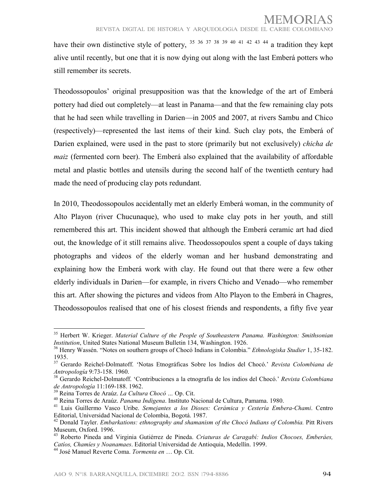have their own distinctive style of pottery,  $35\,36\,37\,38\,39\,40\,41\,42\,43\,44$  $35\,36\,37\,38\,39\,40\,41\,42\,43\,44$  $35\,36\,37\,38\,39\,40\,41\,42\,43\,44$  $35\,36\,37\,38\,39\,40\,41\,42\,43\,44$  $35\,36\,37\,38\,39\,40\,41\,42\,43\,44$  $35\,36\,37\,38\,39\,40\,41\,42\,43\,44$  $35\,36\,37\,38\,39\,40\,41\,42\,43\,44$  $35\,36\,37\,38\,39\,40\,41\,42\,43\,44$  $35\,36\,37\,38\,39\,40\,41\,42\,43\,44$  $35\,36\,37\,38\,39\,40\,41\,42\,43\,44$  $35\,36\,37\,38\,39\,40\,41\,42\,43\,44$  $35\,36\,37\,38\,39\,40\,41\,42\,43\,44$  $35\,36\,37\,38\,39\,40\,41\,42\,43\,44$  $35\,36\,37\,38\,39\,40\,41\,42\,43\,44$  $35\,36\,37\,38\,39\,40\,41\,42\,43\,44$  $35\,36\,37\,38\,39\,40\,41\,42\,43\,44$  $35\,36\,37\,38\,39\,40\,41\,42\,43\,44$  $35\,36\,37\,38\,39\,40\,41\,42\,43\,44$  $35\,36\,37\,38\,39\,40\,41\,42\,43\,44$  a tradition they kept alive until recently, but one that it is now dying out along with the last Emberá potters who still remember its secrets.

Theodossopoulos' original presupposition was that the knowledge of the art of Emberá pottery had died out completely—at least in Panama—and that the few remaining clay pots that he had seen while travelling in Darien—in 2005 and 2007, at rivers Sambu and Chico (respectively)—represented the last items of their kind. Such clay pots, the Emberá of Darien explained, were used in the past to store (primarily but not exclusively) *chicha de maiz* (fermented corn beer). The Emberá also explained that the availability of affordable metal and plastic bottles and utensils during the second half of the twentieth century had made the need of producing clay pots redundant.

In 2010, Theodossopoulos accidentally met an elderly Emberá woman, in the community of Alto Playon (river Chucunaque), who used to make clay pots in her youth, and still remembered this art. This incident showed that although the Emberá ceramic art had died out, the knowledge of it still remains alive. Theodossopoulos spent a couple of days taking photographs and videos of the elderly woman and her husband demonstrating and explaining how the Emberá work with clay. He found out that there were a few other elderly individuals in Darien—for example, in rivers Chicho and Venado—who remember this art. After showing the pictures and videos from Alto Playon to the Emberá in Chagres, Theodossopoulos realised that one of his closest friends and respondents, a fifty five year

<sup>35</sup> Herbert W. Krieger. *Material Culture of the People of Southeastern Panama. Washington: Smithsonian Institution*, United States National Museum Bulletin 134, Washington. 1926.

<sup>36</sup> Henry Wassén. "Notes on southern groups of Chocó Indians in Colombia." *Ethnologiska Studier* 1, 35-182. 1935.

<sup>37</sup> Gerardo Reichel-Dolmatoff. 'Notas Etnográficas Sobre los Indios del Chocó.' *Revista Colombiana de Antropología* 9:73-158. 1960.

<span id="page-7-0"></span><sup>38</sup> Gerardo Reichel-Dolmatoff. 'Contribuciones a la etnografía de los indios del Chocó.' *Revista Colombiana de Antropología* 11:169-188. 1962.

<span id="page-7-7"></span><sup>39</sup> Reina Torres de Araúz. *La Cultura Chocó …* Op. Cit.

<sup>40</sup> Reina Torres de Araúz. *Panama Indigena*. Instituto Nacional de Cultura, Pamama. 1980.

<span id="page-7-2"></span><span id="page-7-1"></span><sup>41</sup> Luis Guillermo Vasco Uribe. *Semejantes a los Dioses: Cerámica y Cestería Embera-Chami*. Centro Editorial, Universidad Nacional de Colombia, Bogotá. 1987.

<span id="page-7-3"></span><sup>42</sup> Donald Tayler. *Embarkations: ethnography and shamanism of the Chocó Indians of Colombia.* Pitt Rivers Museum, Oxford. 1996.

<span id="page-7-5"></span><span id="page-7-4"></span><sup>43</sup> Roberto Pineda and Virginia Gutiérrez de Pineda. *Criaturas de Caragabí: Indios Chocoes, Emberáes, Catíos, Chamíes y Noanamaes*. Editorial Universidad de Antioquia, Medellín. 1999.

<span id="page-7-6"></span><sup>44</sup> José Manuel Reverte Coma. *Tormenta en* … Op. Cit.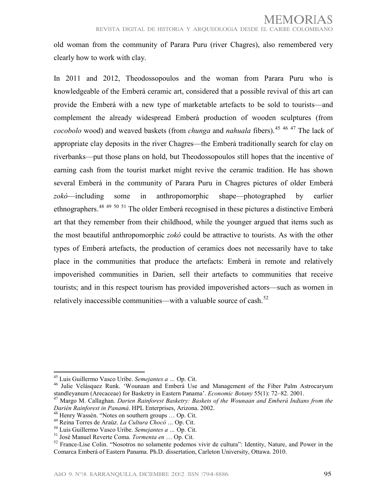old woman from the community of Parara Puru (river Chagres), also remembered very clearly how to work with clay.

In 2011 and 2012, Theodossopoulos and the woman from Parara Puru who is knowledgeable of the Emberá ceramic art, considered that a possible revival of this art can provide the Emberá with a new type of marketable artefacts to be sold to tourists—and complement the already widespread Emberá production of wooden sculptures (from *cocobolo* wood) and weaved baskets (from *chunga* and *nahuala* fibers).<sup>[45](#page-6-2) [46](#page-7-0) [47](#page-7-1)</sup> The lack of appropriate clay deposits in the river Chagres—the Emberá traditionally search for clay on riverbanks—put those plans on hold, but Theodossopoulos still hopes that the incentive of earning cash from the tourist market might revive the ceramic tradition. He has shown several Emberá in the community of Parara Puru in Chagres pictures of older Emberá *zokó*—including some in anthropomorphic shape—photographed by earlier ethnographers.<sup>[48](#page-7-2) [49](#page-7-3) [50](#page-7-4) [51](#page-7-5)</sup> The older Emberá recognised in these pictures a distinctive Emberá art that they remember from their childhood, while the younger argued that items such as the most beautiful anthropomorphic *zokó* could be attractive to tourists. As with the other types of Emberá artefacts, the production of ceramics does not necessarily have to take place in the communities that produce the artefacts: Emberá in remote and relatively impoverished communities in Darien, sell their artefacts to communities that receive tourists; and in this respect tourism has provided impoverished actors—such as women in relatively inaccessible communities—with a valuable source of cash.<sup>[52](#page-7-6)</sup>

<span id="page-8-2"></span><sup>45</sup> Luis Guillermo Vasco Uribe. *Semejantes a …* Op. Cit.

<sup>&</sup>lt;sup>46</sup> Julie Velásquez Runk. 'Wounaan and Emberá Use and Management of the Fiber Palm Astrocaryum standleyanum (Arecaceae) for Basketry in Eastern Panama'. *Economic Botany* 55(1): 72–82. 2001.

<sup>47</sup> Margo M. Callaghan. *Darien Rainforest Basketry: Baskets of the Wounaan and Emberá Indians from the Darién Rainforest in Panamá*. HPL Enterprises, Arizona. 2002.

<sup>&</sup>lt;sup>48</sup> Henry Wassén. "Notes on southern groups ... Op. Cit.

<span id="page-8-0"></span><sup>49</sup> Reina Torres de Araúz. *La Cultura Chocó …* Op. Cit.

<sup>50</sup> Luis Guillermo Vasco Uribe. *Semejantes a …* Op. Cit.

<span id="page-8-1"></span><sup>51</sup> José Manuel Reverte Coma. *Tormenta en* … Op. Cit.

<sup>&</sup>lt;sup>52</sup> France-Lise Colin. "Nosotros no solamente podemos vivir de cultura": Identity, Nature, and Power in the Comarca Emberá of Eastern Panama. Ph.D. dissertation, Carleton University, Ottawa. 2010.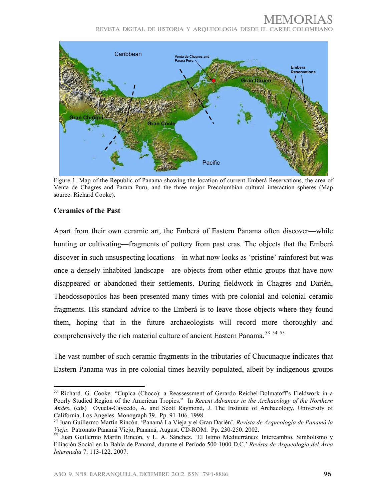## MEMORIAS

<sup>R</sup>EVIST<sup>A</sup> <sup>D</sup>IGITAL <sup>D</sup>E HISTORI<sup>A</sup> <sup>Y</sup> <sup>A</sup>RQUEOLOGí<sup>A</sup> <sup>D</sup>ESDE EL <sup>C</sup>ARIBE <sup>C</sup>OLOMBIANO



Figure 1. Map of the Republic of Panama showing the location of current Emberá Reservations, the area of Venta de Chagres and Parara Puru, and the three major Precolumbian cultural interaction spheres (Map source: Richard Cooke).

#### **Ceramics of the Past**

<span id="page-9-2"></span>!!!!!!!!!!!!!!!!!!!!!!!!!!!!!!!!!!!!!!!!!!!!!!!!!!!!!!!!

Apart from their own ceramic art, the Emberá of Eastern Panama often discover—while hunting or cultivating—fragments of pottery from past eras. The objects that the Emberá discover in such unsuspecting locations—in what now looks as 'pristine' rainforest but was once a densely inhabited landscape—are objects from other ethnic groups that have now disappeared or abandoned their settlements. During fieldwork in Chagres and Darién, Theodossopoulos has been presented many times with pre-colonial and colonial ceramic fragments. His standard advice to the Emberá is to leave those objects where they found them, hoping that in the future archaeologists will record more thoroughly and comprehensively the rich material culture of ancient Eastern Panama.<sup>[53](#page-7-7)</sup> [54](#page-8-0) [55](#page-8-1)

<span id="page-9-1"></span><span id="page-9-0"></span>The vast number of such ceramic fragments in the tributaries of Chucunaque indicates that Eastern Panama was in pre-colonial times heavily populated, albeit by indigenous groups

<span id="page-9-5"></span><span id="page-9-4"></span><span id="page-9-3"></span><sup>53</sup> Richard. G. Cooke. "Cupica (Choco): a Reassessment of Gerardo Reichel-Dolmatoff's Fieldwork in a Poorly Studied Region of the American Tropics." In *Recent Advances in the Archaeology of the Northern Andes*, (eds) Oyuela-Caycedo, A. and Scott Raymond, J. The Institute of Archaeology, University of California, Los Angeles. Monograph 39. Pp. 91-106. 1998.

<sup>54</sup> Juan Guillermo Martín Rincón. 'Panamá La Vieja y el Gran Darién'. *Revista de Arqueología de Panamá la Vieja*. Patronato Panamá Viejo, Panamá, August. CD-ROM. Pp. 230-250. 2002.

<span id="page-9-6"></span><sup>55</sup> Juan Guillermo Martín Rincón, y L. A. Sánchez. 'El Istmo Mediterráneo: Intercambio, Simbolismo y Filiación Social en la Bahía de Panamá, durante el Período 500-1000 D.C.' *Revista de Arqueología del Área Intermedia* 7: 113-122. 2007.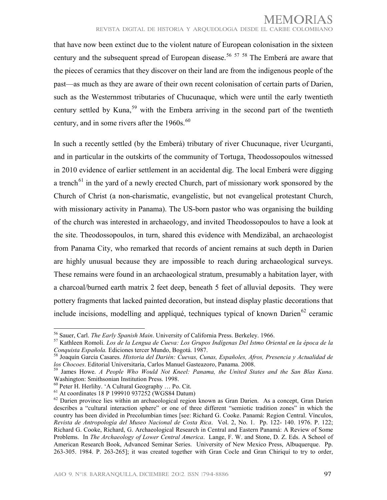that have now been extinct due to the violent nature of European colonisation in the sixteen century and the subsequent spread of European disease.<sup>[56](#page-8-2)</sup> <sup>[57](#page-9-0)</sup> <sup>[58](#page-9-1)</sup> The Emberá are aware that the pieces of ceramics that they discover on their land are from the indigenous people of the past—as much as they are aware of their own recent colonisation of certain parts of Darien, such as the Westernmost tributaries of Chucunaque, which were until the early twentieth century settled by Kuna,<sup>[59](#page-9-2)</sup> with the Embera arriving in the second part of the twentieth century, and in some rivers after the  $1960s$  $1960s$  $1960s$ .<sup>60</sup>

In such a recently settled (by the Emberá) tributary of river Chucunaque, river Ucurganti, and in particular in the outskirts of the community of Tortuga, Theodossopoulos witnessed in 2010 evidence of earlier settlement in an accidental dig. The local Emberá were digging a trench<sup> $61$ </sup> in the yard of a newly erected Church, part of missionary work sponsored by the Church of Christ (a non-charismatic, evangelistic, but not evangelical protestant Church, with missionary activity in Panama). The US-born pastor who was organising the building of the church was interested in archaeology, and invited Theodossopoulos to have a look at the site. Theodossopoulos, in turn, shared this evidence with Mendizábal, an archaeologist from Panama City, who remarked that records of ancient remains at such depth in Darien are highly unusual because they are impossible to reach during archaeological surveys. These remains were found in an archaeological stratum, presumably a habitation layer, with a charcoal/burned earth matrix 2 feet deep, beneath 5 feet of alluvial deposits. They were pottery fragments that lacked painted decoration, but instead display plastic decorations that include incisions, modelling and appliqué, techniques typical of known Darien<sup>[62](#page-9-5)</sup> ceramic

<sup>56</sup> Sauer, Carl. *The Early Spanish Main*. University of California Press. Berkeley. 1966.

<sup>57</sup> Kathleen Romoli. *Los de la Lengua de Cueva: Los Grupos Indígenas Del Istmo Oriental en la época de la Conquista Española.* Ediciones tercer Mundo, Bogotá. 1987.

<sup>58</sup> Joaquín García Casares. *Historia del Darién: Cuevas, Cunas, Españoles, Afros, Presencia y Actualidad de los Chocoes*. Editorial Universitaria, Carlos Manuel Gasteazoro, Panama. 2008.

<sup>59</sup> James Howe. *A People Who Would Not Kneel: Panama, the United States and the San Blas Kuna*. Washington: Smithsonian Institution Press. 1998.

<sup>60</sup> Peter H. Herlihy. 'A Cultural Geography … Po. Cit.

 $^{61}$  At coordinates 18 P 199910 937252 (WGS84 Datum)

<span id="page-10-0"></span><sup>&</sup>lt;sup>62</sup> Darien province lies within an archaeological region known as Gran Darien. As a concept, Gran Darien describes a "cultural interaction sphere" or one of three different "semiotic tradition zones" in which the country has been divided in Precolumbian times [see: Richard G. Cooke. Panamá: Region Central. Vínculos, *Revista de Antropología del Museo Nacional de Costa Rica*. Vol. 2, No. 1. Pp. 122- 140. 1976. P. 122; Richard G. Cooke, Richard, G. Archaeological Research in Central and Eastern Panamá: A Review of Some Problems. In *The Archaeology of Lower Central America*. Lange, F. W. and Stone, D. Z. Eds. A School of American Research Book, Advanced Seminar Series. University of New Mexico Press, Albuquerque. Pp. 263-305. 1984. P. 263-265]; it was created together with Gran Cocle and Gran Chiriquí to try to order,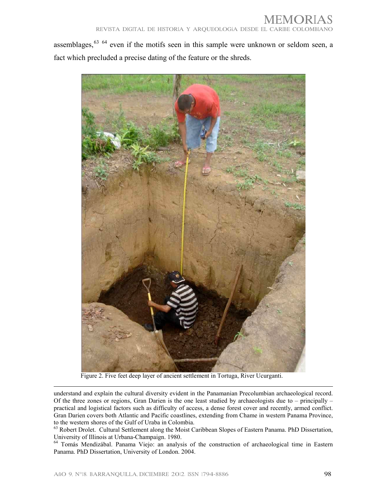assemblages,<sup>[63](#page-9-6) [64](#page-10-0)</sup> even if the motifs seen in this sample were unknown or seldom seen, a fact which precluded a precise dating of the feature or the shreds.



Figure 2. Five feet deep layer of ancient settlement in Tortuga, River Ucurganti.

understand and explain the cultural diversity evident in the Panamanian Precolumbian archaeological record. Of the three zones or regions, Gran Darien is the one least studied by archaeologists due to – principally – practical and logistical factors such as difficulty of access, a dense forest cover and recently, armed conflict. Gran Darien covers both Atlantic and Pacific coastlines, extending from Chame in western Panama Province, to the western shores of the Gulf of Uraba in Colombia.

!!!!!!!!!!!!!!!!!!!!!!!!!!!!!!!!!!!!!!!!!!!!!!!!!!!!!!!!!!!!!!!!!!!!!!!!!!!!!!!!!!!!!!!!!!!!!!!!!!!!!!!!!!!!!!!!!!!!!!!!!!!!!!!!!!!!!!!!!!!!!!!!!!!!!!!!!!!!!!!!!!!!!!!!!

<sup>63</sup> Robert Drolet. Cultural Settlement along the Moist Caribbean Slopes of Eastern Panama. PhD Dissertation, University of Illinois at Urbana-Champaign. 1980.

<span id="page-11-0"></span><sup>64</sup> Tomás Mendizábal. Panama Viejo: an analysis of the construction of archaeological time in Eastern Panama. PhD Dissertation, University of London. 2004.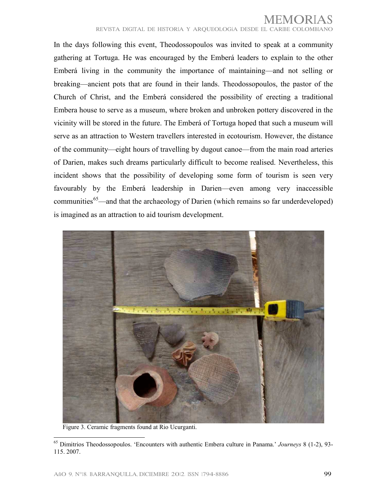In the days following this event, Theodossopoulos was invited to speak at a community gathering at Tortuga. He was encouraged by the Emberá leaders to explain to the other Emberá living in the community the importance of maintaining—and not selling or breaking—ancient pots that are found in their lands. Theodossopoulos, the pastor of the Church of Christ, and the Emberá considered the possibility of erecting a traditional Embera house to serve as a museum, where broken and unbroken pottery discovered in the vicinity will be stored in the future. The Emberá of Tortuga hoped that such a museum will serve as an attraction to Western travellers interested in ecotourism. However, the distance of the community—eight hours of travelling by dugout canoe—from the main road arteries of Darien, makes such dreams particularly difficult to become realised. Nevertheless, this incident shows that the possibility of developing some form of tourism is seen very favourably by the Emberá leadership in Darien—even among very inaccessible communities<sup>[65](#page-10-0)</sup>—and that the archaeology of Darien (which remains so far underdeveloped) is imagined as an attraction to aid tourism development.

<span id="page-12-0"></span>

Figure 3. Ceramic fragments found at Rio Ucurganti.

<sup>65</sup> Dimitrios Theodossopoulos. 'Encounters with authentic Embera culture in Panama.' *Journeys* 8 (1-2), 93- 115. 2007.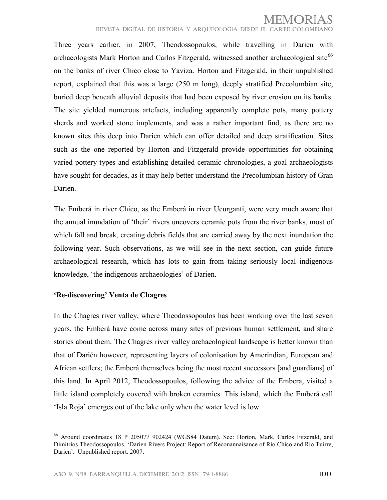Three years earlier, in 2007, Theodossopoulos, while travelling in Darien with archaeologists Mark Horton and Carlos Fitzgerald, witnessed another archaeological site<sup>[66](#page-11-0)</sup> on the banks of river Chico close to Yaviza. Horton and Fitzgerald, in their unpublished report, explained that this was a large (250 m long), deeply stratified Precolumbian site, buried deep beneath alluvial deposits that had been exposed by river erosion on its banks. The site yielded numerous artefacts, including apparently complete pots, many pottery sherds and worked stone implements, and was a rather important find, as there are no known sites this deep into Darien which can offer detailed and deep stratification. Sites such as the one reported by Horton and Fitzgerald provide opportunities for obtaining varied pottery types and establishing detailed ceramic chronologies, a goal archaeologists have sought for decades, as it may help better understand the Precolumbian history of Gran Darien.

The Emberá in river Chico, as the Emberá in river Ucurganti, were very much aware that the annual inundation of 'their' rivers uncovers ceramic pots from the river banks, most of which fall and break, creating debris fields that are carried away by the next inundation the following year. Such observations, as we will see in the next section, can guide future archaeological research, which has lots to gain from taking seriously local indigenous knowledge, 'the indigenous archaeologies' of Darien.

#### <span id="page-13-2"></span><span id="page-13-1"></span><span id="page-13-0"></span>**'Re-discovering' Venta de Chagres**

<span id="page-13-10"></span><span id="page-13-9"></span><span id="page-13-8"></span>!!!!!!!!!!!!!!!!!!!!!!!!!!!!!!!!!!!!!!!!!!!!!!!!!!!!!!!!

<span id="page-13-7"></span><span id="page-13-6"></span><span id="page-13-5"></span><span id="page-13-4"></span><span id="page-13-3"></span>In the Chagres river valley, where Theodossopoulos has been working over the last seven years, the Emberá have come across many sites of previous human settlement, and share stories about them. The Chagres river valley archaeological landscape is better known than that of Darién however, representing layers of colonisation by Amerindian, European and African settlers; the Emberá themselves being the most recent successors [and guardians] of this land. In April 2012, Theodossopoulos, following the advice of the Embera, visited a little island completely covered with broken ceramics. This island, which the Emberá call 'Isla Roja' emerges out of the lake only when the water level is low.

<span id="page-13-11"></span><sup>66</sup> Around coordinates 18 P 205077 902424 (WGS84 Datum). See: Horton, Mark, Carlos Fitzerald, and Dimitrios Theodossopoulos. 'Darien Rivers Project: Report of Reconannaisance of Rio Chico and Rio Tuirre, Darien'. Unpublished report. 2007.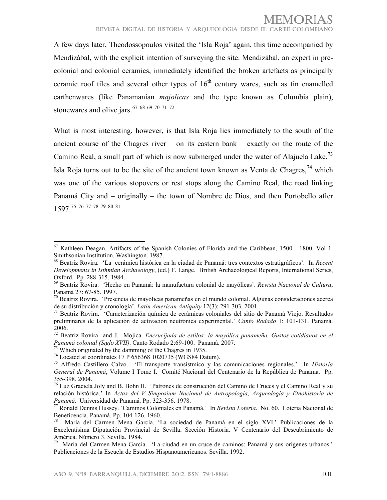A few days later, Theodossopoulos visited the 'Isla Roja' again, this time accompanied by Mendizábal, with the explicit intention of surveying the site. Mendizábal, an expert in precolonial and colonial ceramics, immediately identified the broken artefacts as principally ceramic roof tiles and several other types of  $16<sup>th</sup>$  century wares, such as tin enamelled earthenwares (like Panamanian *majolicas* and the type known as Columbia plain), stonewares and olive jars.<sup>[67](#page-12-0) [68](#page-13-0) [69](#page-13-1) [70](#page-13-2) [71](#page-13-3) [72](#page-13-4)</sup>

What is most interesting, however, is that Isla Roja lies immediately to the south of the ancient course of the Chagres river – on its eastern bank – exactly on the route of the Camino Real, a small part of which is now submerged under the water of Alajuela Lake.<sup>[73](#page-13-5)</sup> Isla Roja turns out to be the site of the ancient town known as Venta de Chagres,  $74$  which was one of the various stopovers or rest stops along the Camino Real, the road linking Panamá City and – originally – the town of Nombre de Dios, and then Portobello after 1597.[75](#page-13-7) [76](#page-13-8) [77](#page-13-9) [78](#page-13-10) [79](#page-13-11) [80](#page-13-9) [81](#page-13-10)

<sup>67</sup> Kathleen Deagan. Artifacts of the Spanish Colonies of Florida and the Caribbean, 1500 - 1800. Vol 1. Smithsonian Institution. Washington. 1987.

<sup>68</sup> Beatriz Rovira. 'La cerámica histórica en la ciudad de Panamá: tres contextos estratigráficos'. In *Recent Developments in Isthmian Archaeology*, (ed.) F. Lange. British Archaeological Reports, International Series, Oxford. Pp. 288-315. 1984.

<sup>69</sup> Beatriz Rovira. 'Hecho en Panamá: la manufactura colonial de mayólicas'. *Revista Nacional de Cultura*, Panamá 27: 67-85. 1997.

<sup>70</sup> Beatriz Rovira. 'Presencia de mayólicas panameñas en el mundo colonial. Algunas consideraciones acerca de su distribución y cronología'. *Latin American Antiquity* 12(3): 291-303. 2001.

<sup>71</sup> Beatriz Rovira. 'Caracterización química de cerámicas coloniales del sitio de Panamá Viejo. Resultados preliminares de la aplicación de activación neutrónica experimental.' *Canto Rodado* 1: 101-131. Panamá. 2006.

<sup>72</sup> Beatriz Rovira and J. Mojica. *Encrucijada de estilos: la mayólica panameña. Gustos cotidianos en el Panamá colonial (Siglo XVII)*. Canto Rodado 2:69-100. Panamá. 2007.

<sup>73</sup> Which originated by the damming of the Chagres in 1935.

<sup>74</sup> Located at coordinates 17 P 656368 1020735 (WGS84 Datum).

<sup>75</sup> Alfredo Castillero Calvo. 'El transporte transístmico y las comunicaciones regionales.' In *Historia General de Panamá*, Volume I Tome I. Comité Nacional del Centenario de la República de Panama. Pp. 355-398. 2004.

<sup>76</sup> Luz Graciela Joly and B. Bohn II. 'Patrones de construcción del Camino de Cruces y el Camino Real y su relación histórica.' In *Actas del V Simposium Nacional de Antropología, Arqueología y Etnohistoria de Panamá*. Universidad de Panamá. Pp. 323-356. 1978.

<span id="page-14-1"></span><sup>77</sup> Ronald Dennis Hussey. 'Caminos Coloniales en Panamá.' In *Revista Lotería*. No. 60. Lotería Nacional de Beneficencia. Panamá. Pp. 104-126. 1960.

<sup>78</sup> María del Carmen Mena García. 'La sociedad de Panamá en el siglo XVI.' Publicaciones de la Excelentísima Diputación Provincial de Sevilla. Sección Historia. V Centenario del Descubrimiento de América. Número 3. Sevilla. 1984.

<span id="page-14-0"></span><sup>79</sup> María del Carmen Mena García. 'La ciudad en un cruce de caminos: Panamá y sus orígenes urbanos.' Publicaciones de la Escuela de Estudios Hispanoamericanos. Sevilla. 1992.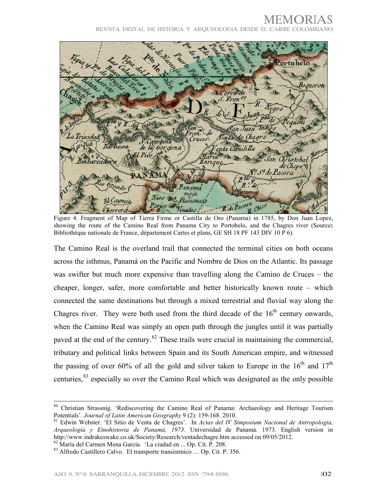Portobelo Boqueron S. Franco equent San co San Juan Indigs  $\overline{d}$ e Venta de Chagre La Trinida Cruces S. Cabetana<br>de la Gorgona oiqua enta Camililla Barbacoa Pico R San Christobal Enrique de Chepo & de Pacora  $R$  de Panamá ucumen vieja Naos Oct Flamenco's Bl Caymito Perico Venados R.de Pacora <sup>ra</sup> chico Chorrera

Figure 4. Fragment of Map of Tierra Firme or Castilla de Oro (Panama) in 1785, by Don Juan Lopez, showing the route of the Camino Real from Panama City to Portobelo, and the Chagres river (Source**:**  Bibliothèque nationale de France, département Cartes et plans, GE SH 18 PF 143 DIV 10 P 6).

The Camino Real is the overland trail that connected the terminal cities on both oceans across the isthmus, Panamá on the Pacific and Nombre de Dios on the Atlantic. Its passage was swifter but much more expensive than travelling along the Camino de Cruces – the cheaper, longer, safer, more comfortable and better historically known route – which connected the same destinations but through a mixed terrestrial and fluvial way along the Chagres river. They were both used from the third decade of the  $16<sup>th</sup>$  century onwards, when the Camino Real was simply an open path through the jungles until it was partially paved at the end of the century.<sup>[82](#page-13-11)</sup> These trails were crucial in maintaining the commercial, tributary and political links between Spain and its South American empire, and witnessed the passing of over 60% of all the gold and silver taken to Europe in the  $16<sup>th</sup>$  and  $17<sup>th</sup>$ centuries,<sup>[83](#page-14-0)</sup> especially so over the Camino Real which was designated as the only possible

!!!!!!!!!!!!!!!!!!!!!!!!!!!!!!!!!!!!!!!!!!!!!!!!!!!!!!!!!!!!!!!!!!!!!!!!!!!!!!!!!!!!!!!!!!!!!!!!!!!!!!!!!!!!!!!!!!!!!!!!!!!!!!!!!!!!!!!!!!!!!!!!!!!!!!!!!!!!!!!!!!!!!!!!!

<sup>80</sup> Christian Strassnig. 'Rediscovering the Camino Real of Panama: Archaeology and Heritage Tourism Potentials'. *Journal of Latin American Geography* 9 (2): 159-168. 2010.

<span id="page-15-2"></span><span id="page-15-1"></span><span id="page-15-0"></span><sup>81</sup> Edwin Webster. 'El Sitio de Venta de Chagres'. In *Actas del IV Simposium Nacional de Antropología, Arqueología y Etnohistoria de Panamá, 1973*. Universidad de Panamá. 1973. English version in http://www.indrakeswake.co.uk/Society/Research/ventadechagre.htm accessed on 09/05/2012.

<span id="page-15-3"></span><sup>82</sup> María del Carmen Mena García. 'La ciudad en ... Op. Cit. P. 208.

<span id="page-15-4"></span><sup>83</sup> Alfredo Castillero Calvo. El transporte transístmico … Op. Cit. P. 356.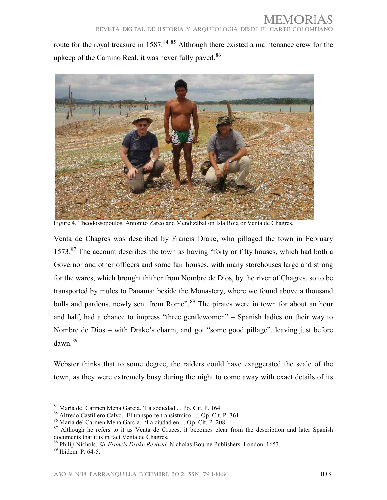route for the royal treasure in 1587.<sup>[84](#page-14-1) [85](#page-15-0)</sup> Although there existed a maintenance crew for the upkeep of the Camino Real, it was never fully paved.<sup>[86](#page-15-1)</sup>



Figure 4. Theodossopoulos, Antonito Zarco and Mendizábal on Isla Roja or Venta de Chagres.

Venta de Chagres was described by Francis Drake, who pillaged the town in February  $1573$ .<sup>[87](#page-15-2)</sup> The account describes the town as having "forty or fifty houses, which had both a Governor and other officers and some fair houses, with many storehouses large and strong for the wares, which brought thither from Nombre de Dios, by the river of Chagres, so to be transported by mules to Panama: beside the Monastery, where we found above a thousand bulls and pardons, newly sent from Rome".<sup>[88](#page-15-3)</sup> The pirates were in town for about an hour and half, had a chance to impress "three gentlewomen" – Spanish ladies on their way to Nombre de Dios – with Drake's charm, and got "some good pillage", leaving just before dawn.[89](#page-15-4)

Webster thinks that to some degree, the raiders could have exaggerated the scale of the town, as they were extremely busy during the night to come away with exact details of its

<sup>84</sup> María del Carmen Mena García. 'La sociedad ... Po. Cit. P. 164

<sup>85</sup> Alfredo Castillero Calvo. El transporte transístmico … Op. Cit. P. 361.

<span id="page-16-3"></span><sup>86</sup> María del Carmen Mena García. 'La ciudad en ... Op. Cit. P. 208.

<span id="page-16-0"></span><sup>&</sup>lt;sup>87</sup> Although he refers to it as Venta de Cruces, it becomes clear from the description and later Spanish documents that it is in fact Venta de Chagres.

<span id="page-16-1"></span><sup>88</sup> Philip Nichols. *Sir Francis Drake Revived*. Nicholas Bourne Publishers. London. 1653.

<span id="page-16-2"></span><sup>89</sup> Ibídem. P. 64-5.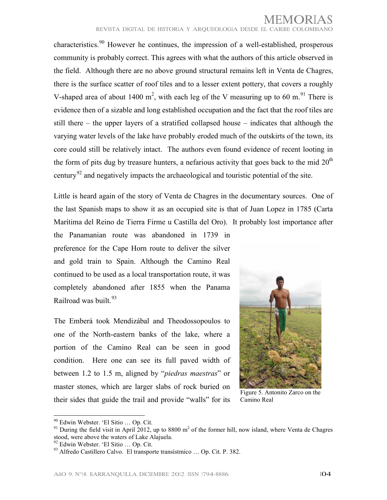characteristics.<sup>[90](#page-15-1)</sup> However he continues, the impression of a well-established, prosperous community is probably correct. This agrees with what the authors of this article observed in the field. Although there are no above ground structural remains left in Venta de Chagres, there is the surface scatter of roof tiles and to a lesser extent pottery, that covers a roughly V-shaped area of about 1400 m<sup>2</sup>, with each leg of the V measuring up to 60 m.<sup>[91](#page-16-0)</sup> There is evidence then of a sizable and long established occupation and the fact that the roof tiles are still there – the upper layers of a stratified collapsed house – indicates that although the varying water levels of the lake have probably eroded much of the outskirts of the town, its core could still be relatively intact. The authors even found evidence of recent looting in the form of pits dug by treasure hunters, a nefarious activity that goes back to the mid  $20<sup>th</sup>$ century<sup>[92](#page-16-1)</sup> and negatively impacts the archaeological and touristic potential of the site.

Little is heard again of the story of Venta de Chagres in the documentary sources. One of the last Spanish maps to show it as an occupied site is that of Juan Lopez in 1785 (Carta Marítima del Reino de Tierra Firme u Castilla del Oro). It probably lost importance after

the Panamanian route was abandoned in 1739 in preference for the Cape Horn route to deliver the silver and gold train to Spain. Although the Camino Real continued to be used as a local transportation route, it was completely abandoned after 1855 when the Panama Railroad was built.<sup>[93](#page-16-2)</sup>

<span id="page-17-4"></span>The Emberá took Mendizábal and Theodossopoulos to one of the North-eastern banks of the lake, where a portion of the Camino Real can be seen in good condition. Here one can see its full paved width of between 1.2 to 1.5 m, aligned by "*piedras maestras*" or master stones, which are larger slabs of rock buried on their sides that guide the trail and provide "walls" for its



Figure 5. Antonito Zarco on the Camino Real

<sup>!!!!!!!!!!!!!!!!!!!!!!!!!!!!!!!!!!!!!!!!!!!!!!!!!!!!!!!!</sup> <sup>90</sup> Edwin Webster. 'El Sitio … Op. Cit.

<span id="page-17-0"></span> $91$  During the field visit in April 2012, up to 8800 m<sup>2</sup> of the former hill, now island, where Venta de Chagres stood, were above the waters of Lake Alajuela.

<span id="page-17-1"></span><sup>92</sup> Edwin Webster. 'El Sitio … Op. Cit.

<span id="page-17-3"></span><span id="page-17-2"></span><sup>93</sup> Alfredo Castillero Calvo. El transporte transístmico … Op. Cit. P. 382.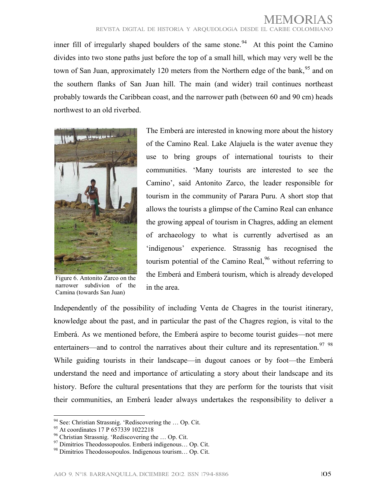inner fill of irregularly shaped boulders of the same stone.<sup>[94](#page-16-3)</sup> At this point the Camino divides into two stone paths just before the top of a small hill, which may very well be the town of San Juan, approximately 120 meters from the Northern edge of the bank,  $95$  and on the southern flanks of San Juan hill. The main (and wider) trail continues northeast probably towards the Caribbean coast, and the narrower path (between 60 and 90 cm) heads northwest to an old riverbed.



Figure 6. Antonito Zarco on the narrower subdivion of the Camina (towards San Juan)

The Emberá are interested in knowing more about the history of the Camino Real. Lake Alajuela is the water avenue they use to bring groups of international tourists to their communities. 'Many tourists are interested to see the Camino', said Antonito Zarco, the leader responsible for tourism in the community of Parara Puru. A short stop that allows the tourists a glimpse of the Camino Real can enhance the growing appeal of tourism in Chagres, adding an element of archaeology to what is currently advertised as an 'indigenous' experience. Strassnig has recognised the tourism potential of the Camino Real,  $96$  without referring to the Emberá and Emberá tourism, which is already developed in the area.

<span id="page-18-0"></span>Independently of the possibility of including Venta de Chagres in the tourist itinerary, knowledge about the past, and in particular the past of the Chagres region, is vital to the Emberá. As we mentioned before, the Emberá aspire to become tourist guides—not mere entertainers—and to control the narratives about their culture and its representation.<sup>[97](#page-17-2)</sup> [98](#page-17-3) While guiding tourists in their landscape—in dugout canoes or by foot—the Emberá understand the need and importance of articulating a story about their landscape and its history. Before the cultural presentations that they are perform for the tourists that visit their communities, an Emberá leader always undertakes the responsibility to deliver a

<span id="page-18-7"></span><span id="page-18-2"></span><span id="page-18-1"></span><sup>&</sup>lt;sup>94</sup> See: Christian Strassnig. 'Rediscovering the ... Op. Cit.

<span id="page-18-3"></span><sup>&</sup>lt;sup>95</sup> At coordinates 17 P 657339 1022218

<span id="page-18-4"></span><sup>96</sup> Christian Strassnig. 'Rediscovering the … Op. Cit.

<sup>97</sup> Dimitrios Theodossopoulos. Emberá indigenous… Op. Cit.

<span id="page-18-6"></span><span id="page-18-5"></span><sup>98</sup> Dimitrios Theodossopoulos. Indigenous tourism… Op. Cit.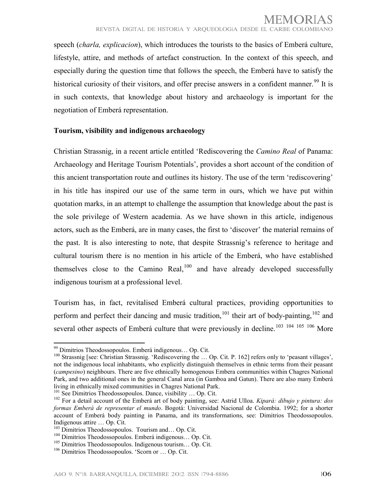speech (*charla, explicacion*), which introduces the tourists to the basics of Emberá culture, lifestyle, attire, and methods of artefact construction. In the context of this speech, and especially during the question time that follows the speech, the Emberá have to satisfy the historical curiosity of their visitors, and offer precise answers in a confident manner.<sup>[99](#page-17-4)</sup> It is in such contexts, that knowledge about history and archaeology is important for the negotiation of Emberá representation.

#### **Tourism, visibility and indigenous archaeology**

Christian Strassnig, in a recent article entitled 'Rediscovering the *Camino Real* of Panama: Archaeology and Heritage Tourism Potentials', provides a short account of the condition of this ancient transportation route and outlines its history. The use of the term 'rediscovering' in his title has inspired our use of the same term in ours, which we have put within quotation marks, in an attempt to challenge the assumption that knowledge about the past is the sole privilege of Western academia. As we have shown in this article, indigenous actors, such as the Emberá, are in many cases, the first to 'discover' the material remains of the past. It is also interesting to note, that despite Strassnig's reference to heritage and cultural tourism there is no mention in his article of the Emberá, who have established themselves close to the Camino Real, $100$  and have already developed successfully indigenous tourism at a professional level.

Tourism has, in fact, revitalised Emberá cultural practices, providing opportunities to perform and perfect their dancing and music tradition,<sup>[101](#page-18-1)</sup> their art of body-painting,<sup>[102](#page-18-2)</sup> and several other aspects of Emberá culture that were previously in decline.<sup>[103](#page-18-3) [104](#page-18-4) [105](#page-18-5) [106](#page-18-6)</sup> More

<sup>99</sup> Dimitrios Theodossopoulos. Emberá indigenous… Op. Cit.

<sup>&</sup>lt;sup>100</sup> Strassnig [see: Christian Strassnig. 'Rediscovering the ... Op. Cit. P. 162] refers only to 'peasant villages', not the indigenous local inhabitants, who explicitly distinguish themselves in ethnic terms from their peasant (*campesino*) neighbours. There are five ethnically homogenous Embera communities within Chagres National Park, and two additional ones in the general Canal area (in Gamboa and Gatun). There are also many Emberá living in ethnically mixed communities in Chagres National Park.

<sup>&</sup>lt;sup>101</sup> See Dimitrios Theodossopoulos. Dance, visibility ... Op. Cit.

<sup>102</sup> For a detail account of the Emberá art of body painting, see: Astrid Ulloa. *Kipará: dibujo y pintura: dos formas Emberá de representar el mundo*. Bogotá: Universidad Nacional de Colombia. 1992; for a shorter account of Emberá body painting in Panama, and its transformations, see: Dimitrios Theodossopoulos. Indigenous attire … Op. Cit.

<sup>&</sup>lt;sup>103</sup> Dimitrios Theodossopoulos. Tourism and... Op. Cit.

<span id="page-19-2"></span><sup>104</sup> Dimitrios Theodossopoulos. Emberá indigenous… Op. Cit.

<span id="page-19-0"></span><sup>105</sup> Dimitrios Theodossopoulos. Indigenous tourism… Op. Cit.

<span id="page-19-1"></span><sup>106</sup> Dimitrios Theodossopoulos. 'Scorn or … Op. Cit.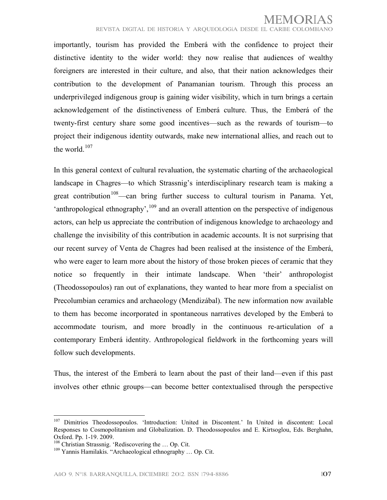importantly, tourism has provided the Emberá with the confidence to project their distinctive identity to the wider world: they now realise that audiences of wealthy foreigners are interested in their culture, and also, that their nation acknowledges their contribution to the development of Panamanian tourism. Through this process an underprivileged indigenous group is gaining wider visibility, which in turn brings a certain acknowledgement of the distinctiveness of Emberá culture. Thus, the Emberá of the twenty-first century share some good incentives—such as the rewards of tourism—to project their indigenous identity outwards, make new international allies, and reach out to the world. $107$ 

In this general context of cultural revaluation, the systematic charting of the archaeological landscape in Chagres—to which Strassnig's interdisciplinary research team is making a great contribution<sup>[108](#page-19-0)</sup>—can bring further success to cultural tourism in Panama. Yet, 'anthropological ethnography',  $109$  and an overall attention on the perspective of indigenous actors, can help us appreciate the contribution of indigenous knowledge to archaeology and challenge the invisibility of this contribution in academic accounts. It is not surprising that our recent survey of Venta de Chagres had been realised at the insistence of the Emberá, who were eager to learn more about the history of those broken pieces of ceramic that they notice so frequently in their intimate landscape. When 'their' anthropologist (Theodossopoulos) ran out of explanations, they wanted to hear more from a specialist on Precolumbian ceramics and archaeology (Mendizábal). The new information now available to them has become incorporated in spontaneous narratives developed by the Emberá to accommodate tourism, and more broadly in the continuous re-articulation of a contemporary Emberá identity. Anthropological fieldwork in the forthcoming years will follow such developments.

Thus, the interest of the Emberá to learn about the past of their land—even if this past involves other ethnic groups—can become better contextualised through the perspective

<sup>&</sup>lt;sup>107</sup> Dimitrios Theodossopoulos. 'Introduction: United in Discontent.' In United in discontent: Local Responses to Cosmopolitanism and Globalization. D. Theodossopoulos and E. Kirtsoglou, Eds. Berghahn, Oxford. Pp. 1-19. 2009.

<span id="page-20-0"></span><sup>108</sup> Christian Strassnig. 'Rediscovering the … Op. Cit.

<span id="page-20-1"></span><sup>109</sup> Yannis Hamilakis. "Archaeological ethnography … Op. Cit.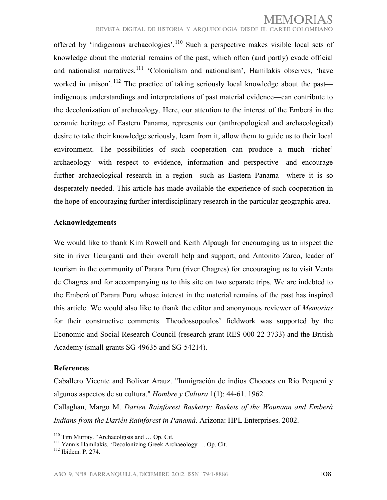offered by 'indigenous archaeologies'.<sup>[110](#page-19-2)</sup> Such a perspective makes visible local sets of knowledge about the material remains of the past, which often (and partly) evade official and nationalist narratives.<sup>[111](#page-20-0)</sup> 'Colonialism and nationalism', Hamilakis observes, 'have worked in unison'.<sup>[112](#page-20-1)</sup> The practice of taking seriously local knowledge about the past indigenous understandings and interpretations of past material evidence—can contribute to the decolonization of archaeology. Here, our attention to the interest of the Emberá in the ceramic heritage of Eastern Panama, represents our (anthropological and archaeological) desire to take their knowledge seriously, learn from it, allow them to guide us to their local environment. The possibilities of such cooperation can produce a much 'richer' archaeology—with respect to evidence, information and perspective—and encourage further archaeological research in a region—such as Eastern Panama—where it is so desperately needed. This article has made available the experience of such cooperation in the hope of encouraging further interdisciplinary research in the particular geographic area.

#### **Acknowledgements**

We would like to thank Kim Rowell and Keith Alpaugh for encouraging us to inspect the site in river Ucurganti and their overall help and support, and Antonito Zarco, leader of tourism in the community of Parara Puru (river Chagres) for encouraging us to visit Venta de Chagres and for accompanying us to this site on two separate trips. We are indebted to the Emberá of Parara Puru whose interest in the material remains of the past has inspired this article. We would also like to thank the editor and anonymous reviewer of *Memorias* for their constructive comments. Theodossopoulos' fieldwork was supported by the Economic and Social Research Council (research grant RES-000-22-3733) and the British Academy (small grants SG-49635 and SG-54214).

#### **References**

Caballero Vicente and Bolivar Arauz. "Inmigración de indios Chocoes en Río Pequeni y algunos aspectos de su cultura." *Hombre y Cultura* 1(1): 44-61. 1962. Callaghan, Margo M. *Darien Rainforest Basketry: Baskets of the Wounaan and Emberá* 

*Indians from the Darién Rainforest in Panamá*. Arizona: HPL Enterprises. 2002. !!!!!!!!!!!!!!!!!!!!!!!!!!!!!!!!!!!!!!!!!!!!!!!!!!!!!!!!

<sup>&</sup>lt;sup>110</sup> Tim Murray. "Archaeolgists and ... Op. Cit.

<sup>111</sup> Yannis Hamilakis. 'Decolonizing Greek Archaeology … Op. Cit.

<sup>112</sup> Ibídem. P. 274.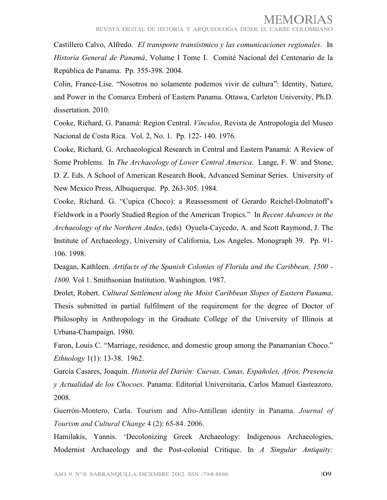Castillero Calvo, Alfredo. *El transporte transístmico y las comunicaciones regionales*. In *Historia General de Panamá*, Volume I Tome I. Comité Nacional del Centenario de la República de Panama. Pp. 355-398. 2004.

Colin, France-Lise. "Nosotros no solamente podemos vivir de cultura": Identity, Nature, and Power in the Comarca Emberá of Eastern Panama. Ottawa, Carleton University, Ph.D. dissertation. 2010.

Cooke, Richard, G. Panamá: Region Central. *Vínculos*, Revista de Antropología del Museo Nacional de Costa Rica. Vol. 2, No. 1. Pp. 122- 140. 1976.

Cooke, Richard, G. Archaeological Research in Central and Eastern Panamá: A Review of Some Problems. In *The Archaeology of Lower Central America*. Lange, F. W. and Stone, D. Z. Eds. A School of American Research Book, Advanced Seminar Series. University of New Mexico Press, Albuquerque. Pp. 263-305. 1984.

Cooke, Richard. G. "Cupica (Choco): a Reassessment of Gerardo Reichel-Dolmatoff's Fieldwork in a Poorly Studied Region of the American Tropics." In *Recent Advances in the Archaeology of the Northern Andes*, (eds) Oyuela-Caycedo, A. and Scott Raymond, J. The Institute of Archaeology, University of California, Los Angeles. Monograph 39. Pp. 91- 106. 1998.

Deagan, Kathleen. *Artifacts of the Spanish Colonies of Florida and the Caribbean, 1500 - 1800.* Vol 1. Smithsonian Institution. Washington. 1987.

Drolet, Robert. *Cultural Settlement along the Moist Caribbean Slopes of Eastern Panama*. Thesis submitted in partial fulfilment of the requirement for the degree of Doctor of Philosophy in Anthropology in the Graduate College of the University of Illinois at Urbana-Champaign. 1980.

Faron, Louis C. "Marriage, residence, and domestic group among the Panamanian Choco." *Ethnology* 1(1): 13-38. 1962.

García Casares, Joaquín. *Historia del Darién: Cuevas, Cunas, Españoles, Afros, Presencia y Actualidad de los Chocoes*. Panama: Editorial Universitaria, Carlos Manuel Gasteazoro. 2008.

Guerrón-Montero, Carla. Tourism and Afro-Antillean identity in Panama. *Journal of Tourism and Cultural Change* 4 (2): 65-84. 2006.

Hamilakis, Yannis. 'Decolonizing Greek Archaeology: Indigenous Archaeologies, Modernist Archaeology and the Post-colonial Critique. In *A Singular Antiquity:*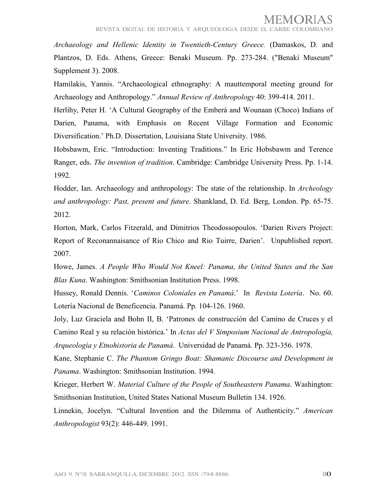## MEMORIAS

*Archaeology and Hellenic Identity in Twentieth-Century Greece.* (Damaskos, D. and Plantzos, D. Eds. Athens, Greece: Benaki Museum. Pp. 273-284. ("Benaki Museum" Supplement 3). 2008.

Hamilakis, Yannis. "Archaeological ethnography: A mauttemporal meeting ground for Archaeology and Anthropology." *Annual Review of Anthropology* 40: 399-414. 2011.

Herlihy, Peter H. 'A Cultural Geography of the Emberá and Wounaan (Choco) Indians of Darien, Panama, with Emphasis on Recent Village Formation and Economic Diversification.' Ph.D. Dissertation, Louisiana State University. 1986.

Hobsbawm, Eric. "Introduction: Inventing Traditions." In Eric Hobsbawm and Terence Ranger, eds. *The invention of tradition*. Cambridge: Cambridge University Press. Pp. 1-14. 1992.

Hodder, Ian. Archaeology and anthropology: The state of the relationship. In *Archeology and anthropology: Past, present and future*. Shankland, D. Ed. Berg, London. Pp. 65-75. 2012.

Horton, Mark, Carlos Fitzerald, and Dimitrios Theodossopoulos. 'Darien Rivers Project: Report of Reconannaisance of Rio Chico and Rio Tuirre, Darien'. Unpublished report. 2007.

Howe, James. *A People Who Would Not Kneel: Panama, the United States and the San Blas Kuna*. Washington: Smithsonian Institution Press. 1998.

Hussey, Ronald Dennis. '*Caminos Coloniales en Panamá*.' In *Revista Lotería*. No. 60. Lotería Nacional de Beneficencia. Panamá. Pp. 104-126. 1960.

Joly, Luz Graciela and Bohn II, B. 'Patrones de construcción del Camino de Cruces y el Camino Real y su relación histórica.' In *Actas del V Simposium Nacional de Antropología, Arqueología y Etnohistoria de Panamá*. Universidad de Panamá. Pp. 323-356. 1978.

Kane, Stephanie C. *The Phantom Gringo Boat: Shamanic Discourse and Development in Panama*. Washington: Smithsonian Institution. 1994.

Krieger, Herbert W. *Material Culture of the People of Southeastern Panama*. Washington: Smithsonian Institution, United States National Museum Bulletin 134. 1926.

Linnekin, Jocelyn. "Cultural Invention and the Dilemma of Authenticity." *American Anthropologist* 93(2): 446-449. 1991.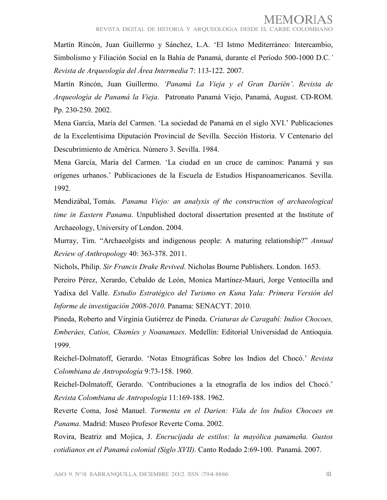Martín Rincón, Juan Guillermo y Sánchez, L.A. 'El Istmo Mediterráneo: Intercambio, Simbolismo y Filiación Social en la Bahía de Panamá, durante el Período 500-1000 D.C*.' Revista de Arqueología del Área Intermedia* 7: 113-122. 2007.

Martín Rincón, Juan Guillermo. *'Panamá La Vieja y el Gran Darién'*. *Revista de Arqueología de Panamá la Vieja*. Patronato Panamá Viejo, Panamá, August. CD-ROM. Pp. 230-250. 2002.

Mena García, María del Carmen. 'La sociedad de Panamá en el siglo XVI.' Publicaciones de la Excelentísima Diputación Provincial de Sevilla. Sección Historia. V Centenario del Descubrimiento de América. Número 3. Sevilla. 1984.

Mena García, María del Carmen. 'La ciudad en un cruce de caminos: Panamá y sus orígenes urbanos.' Publicaciones de la Escuela de Estudios Hispanoamericanos. Sevilla. 1992.

Mendizábal, Tomás. *Panama Viejo: an analysis of the construction of archaeological time in Eastern Panama*. Unpublished doctoral dissertation presented at the Institute of Archaeology, University of London. 2004.

Murray, Tim. "Archaeolgists and indigenous people: A maturing relationship?" *Annual Review of Anthropology* 40: 363-378. 2011.

Nichols, Philip. *Sir Francis Drake Revived*. Nicholas Bourne Publishers. London. 1653.

Pereiro Pérez, Xerardo, Cebaldo de León, Monica Martínez-Mauri, Jorge Ventocilla and Yadixa del Valle. *Estudio Estratégico del Turismo en Kuna Yala: Primera Versión del Informe de investigación 2008-2010*. Panama: SENACYT. 2010.

Pineda, Roberto and Virginia Gutiérrez de Pineda. *Criaturas de Caragabí: Indios Chocoes, Emberáes, Catíos, Chamíes y Noanamaes*. Medellín: Editorial Universidad de Antioquia. 1999.

Reichel-Dolmatoff, Gerardo. 'Notas Etnográficas Sobre los Indios del Chocó.' *Revista Colombiana de Antropología* 9:73-158. 1960.

Reichel-Dolmatoff, Gerardo. 'Contribuciones a la etnografía de los indios del Chocó.' *Revista Colombiana de Antropología* 11:169-188. 1962.

Reverte Coma, José Manuel. *Tormenta en el Darien: Vida de los Indios Chocoes en Panama*. Madrid: Museo Profesor Reverte Coma. 2002.

Rovira, Beatriz and Mojica, J. *Encrucijada de estilos: la mayólica panameña. Gustos cotidianos en el Panamá colonial (Siglo XVII)*. Canto Rodado 2:69-100. Panamá. 2007.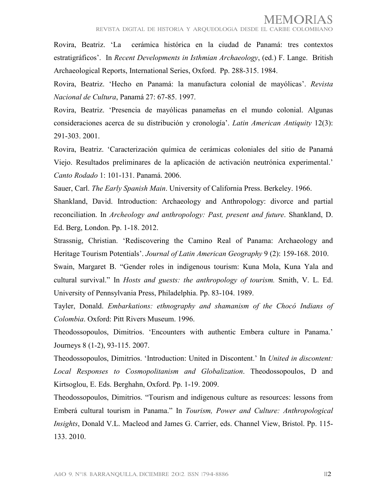REVISTA DIGITAL DE HISTORIA Y AROUEOLOGÍA DESDE EL CARIBE COLO

Rovira, Beatriz. 'La cerámica histórica en la ciudad de Panamá: tres contextos estratigráficos'. In *Recent Developments in Isthmian Archaeology*, (ed.) F. Lange. British Archaeological Reports, International Series, Oxford. Pp. 288-315. 1984.

Rovira, Beatriz. 'Hecho en Panamá: la manufactura colonial de mayólicas'. *Revista Nacional de Cultura*, Panamá 27: 67-85. 1997.

Rovira, Beatriz. 'Presencia de mayólicas panameñas en el mundo colonial. Algunas consideraciones acerca de su distribución y cronología'. *Latin American Antiquity* 12(3): 291-303. 2001.

Rovira, Beatriz. 'Caracterización química de cerámicas coloniales del sitio de Panamá Viejo. Resultados preliminares de la aplicación de activación neutrónica experimental.' *Canto Rodado* 1: 101-131. Panamá. 2006.

Sauer, Carl. *The Early Spanish Main*. University of California Press. Berkeley. 1966.

Shankland, David. Introduction: Archaeology and Anthropology: divorce and partial reconciliation. In *Archeology and anthropology: Past, present and future*. Shankland, D. Ed. Berg, London. Pp. 1-18. 2012.

Strassnig, Christian. 'Rediscovering the Camino Real of Panama: Archaeology and Heritage Tourism Potentials'. *Journal of Latin American Geography* 9 (2): 159-168. 2010.

Swain, Margaret B. "Gender roles in indigenous tourism: Kuna Mola, Kuna Yala and cultural survival." In *Hosts and guests: the anthropology of tourism.* Smith, V. L. Ed. University of Pennsylvania Press, Philadelphia. Pp. 83-104. 1989.

Tayler, Donald. *Embarkations: ethnography and shamanism of the Chocó Indians of Colombia*. Oxford: Pitt Rivers Museum. 1996.

Theodossopoulos, Dimitrios. 'Encounters with authentic Embera culture in Panama.' Journeys 8 (1-2), 93-115. 2007.

Theodossopoulos, Dimitrios. 'Introduction: United in Discontent.' In *United in discontent: Local Responses to Cosmopolitanism and Globalization*. Theodossopoulos, D and Kirtsoglou, E. Eds. Berghahn, Oxford. Pp. 1-19. 2009.

Theodossopoulos, Dimitrios. "Tourism and indigenous culture as resources: lessons from Emberá cultural tourism in Panama." In *Tourism, Power and Culture: Anthropological Insights*, Donald V.L. Macleod and James G. Carrier, eds. Channel View, Bristol. Pp. 115- 133. 2010.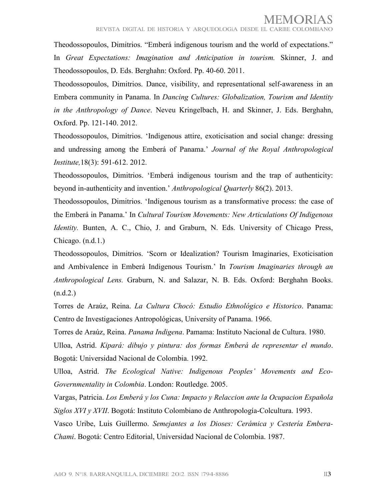Theodossopoulos, Dimitrios. "Emberá indigenous tourism and the world of expectations." In *Great Expectations: Imagination and Anticipation in tourism.* Skinner, J. and Theodossopoulos, D. Eds. Berghahn: Oxford. Pp. 40-60. 2011.

Theodossopoulos, Dimitrios. Dance, visibility, and representational self-awareness in an Embera community in Panama. In *Dancing Cultures: Globalization, Tourism and Identity in the Anthropology of Dance*. Neveu Kringelbach, H. and Skinner, J. Eds. Berghahn, Oxford. Pp. 121-140. 2012.

Theodossopoulos, Dimitrios. 'Indigenous attire, exoticisation and social change: dressing and undressing among the Emberá of Panama.' *Journal of the Royal Anthropological Institute,*18(3): 591-612. 2012.

Theodossopoulos, Dimitrios. 'Emberá indigenous tourism and the trap of authenticity: beyond in-authenticity and invention.' *Anthropological Quarterly* 86(2). 2013.

Theodossopoulos, Dimitrios. 'Indigenous tourism as a transformative process: the case of the Emberá in Panama.' In *Cultural Tourism Movements: New Articulations Of Indigenous Identity.* Bunten, A. C., Chio, J. and Graburn, N. Eds. University of Chicago Press, Chicago. (n.d.1.)

Theodossopoulos, Dimitrios. 'Scorn or Idealization? Tourism Imaginaries, Exoticisation and Ambivalence in Emberá Indigenous Tourism.' In *Tourism Imaginaries through an Anthropological Lens.* Graburn, N. and Salazar, N. B. Eds. Oxford: Berghahn Books.  $(n.d.2.)$ 

Torres de Araúz, Reina. *La Cultura Chocó: Estudio Ethnológico e Historico*. Panama: Centro de Investigaciones Antropológicas, University of Panama. 1966.

Torres de Araúz, Reina. *Panama Indigena*. Pamama: Instituto Nacional de Cultura. 1980.

Ulloa, Astrid. *Kipará: dibujo y pintura: dos formas Emberá de representar el mundo*. Bogotá: Universidad Nacional de Colombia. 1992.

<span id="page-26-0"></span>Ulloa, Astrid. *The Ecological Native: Indigenous Peoples' Movements and Eco-Governmentality in Colombia*. London: Routledge. 2005.

Vargas, Patricia. *Los Emberá y los Cuna: Impacto y Relaccion ante la Ocupacion Española Siglos XVI y XVII*. Bogotá: Instituto Colombiano de Anthropología-Colcultura. 1993.

Vasco Uribe, Luis Guillermo. *Semejantes a los Dioses: Cerámica y Cestería Embera-Chami*. Bogotá: Centro Editorial, Universidad Nacional de Colombia. 1987.